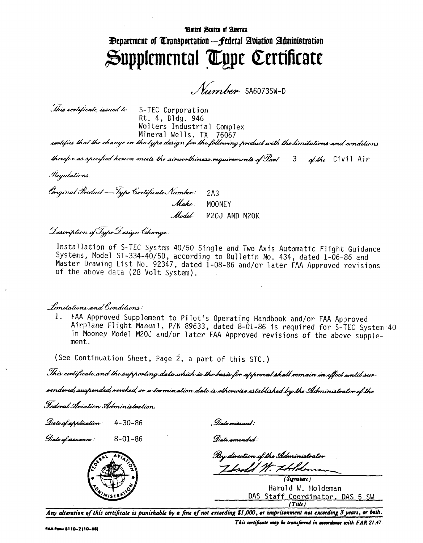## Hnitrd States of America **Experiment of Transportation - Federal Abiation Administration** Supplemental Type Certificate

Number SA6073SW-D

This certificate, issued to S-TEC Corporation Rt. 4, Bldg. 946 Wolters Industrial Complex Mineral Wells, TX 76067

cortifies that the change in the type design for the following product with the limitations and conditions

therefor as specified hereon meets the airworthiness requirements of Part 3 of the Civil Air

Kegulations

Original Product - Type Ciertificate Number:  $2A3$ Make: MOONEY Model: M20J AND M20K

Description of Type Design Change:

Installation of S-TEC System 40/50 Single and Two Axis Automatic Flight Guidance Systems, Model ST-334-40/50, according to Bulletin No. 434, dated 1-06-86 and Master Drawing List No. 92347, dated 1-08-86 and/or later FAA Approved revisions of the above data (28 Volt System).

## *Imitations and Conditions:*

FAA Approved Supplement to Pilot's Operating Handbook and/or FAA Approved  $1_{-}$ Airplane Flight Manual, P/N 89633, dated 8-01-86 is required for S-TEC System 40 in Mooney Model M20J and/or later FAA Approved revisions of the above supplement.

(See Continuation Sheet, Page 2, a part of this STC.)

This certificate and the supporting data which is the basis for approval shall remain in effect until sur-

rendered, suspended, revoked, or a termination date is otherwise established by the Administrator of the

Federal Aviation Administration

Date of application: 4-30-86

. Date missued :

Date af issuance :  $8 - 01 - 86$ 



Date amended:

Ry direction of the Administrator Ibrold W. Holden

(Signature) Harold W. Holdeman DAS Staff Coordinator, DAS 5 SW  $(Tule)$ 

Any alteration of this certificate is punishable by a fine of not exceeding \$1,000, or imprisonment not exceeding 3 years, or both.

This certificate may be transferred in accordance with FAR 21.47.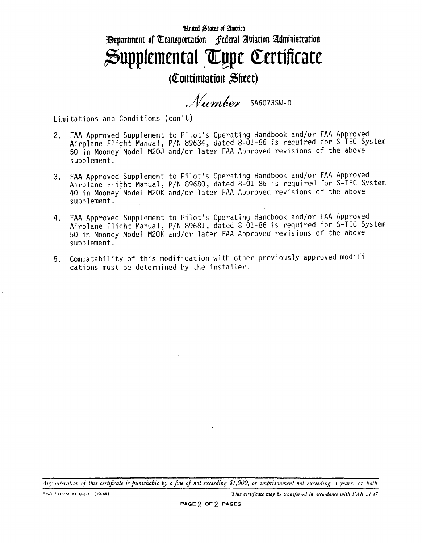## Hnited States of America Bepartment of Transportation— federal Aviation Administration  $\mathfrak{Supplemental}$  Type Certificate

## (Continuation £heet)

Number SA6073SW-D

Limitations and Conditions (con't)

- 2. FAA Approved Supplement to Pilot's Operating Handbook and/or FAA Approved Airplane Flight Manual, P/N 89634, dated 8-01-86 is required for S-TEC System 50 in Mooney Model M20J and/or later FAA Approved revisions of the above supplement.
- 3. FAA Approved Supplement to Pilot's Operating Handbook and/or FAA Approved Airplane Flight Manual, P/N 89680, dated 8-01-86 is required for S-TEC System 40 in Mooney Model M20K and/or later FAA Approved revisions of the above supplement.
- 4. FAA Approved Supplement to Pilot's Operating Handbook and/or FAA Approved Airplane Flight Manual, P/N 89681, dated 8-01-86 is required for S-TEC System 50 in Mooney Model M20K and/or later FAA Approved revisions of the above supplement.
- 5. Compatability of this modification with other previously approved modifications must be determined by the installer.

*Any alteration of this certificate is punishable by a fine of not exceeding Si,OOP, or imprisonment not exceeding 3 years, or both.*

FAA FORM 8110-2-1 (10-69) **This certificate may be transferred in accordance with FAR 21.47.**